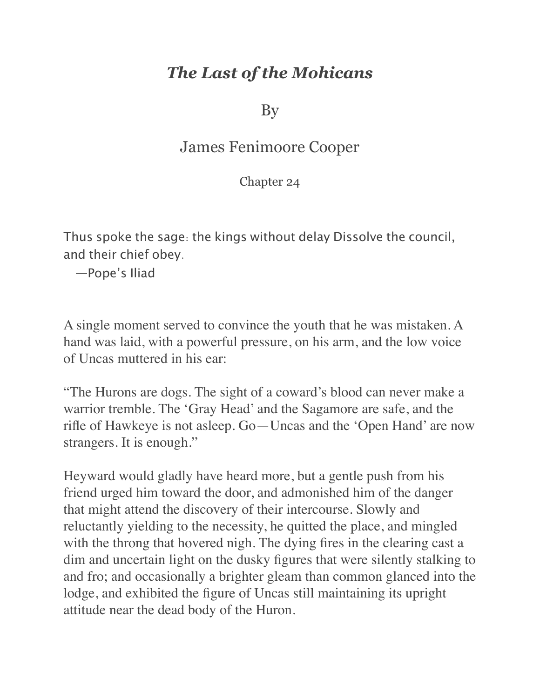## *The Last of the Mohicans*

By

## James Fenimoore Cooper

Chapter 24

Thus spoke the sage: the kings without delay Dissolve the council, and their chief obey.

—Pope's Iliad

A single moment served to convince the youth that he was mistaken. A hand was laid, with a powerful pressure, on his arm, and the low voice of Uncas muttered in his ear:

"The Hurons are dogs. The sight of a coward's blood can never make a warrior tremble. The 'Gray Head' and the Sagamore are safe, and the rifle of Hawkeye is not asleep. Go—Uncas and the 'Open Hand' are now strangers. It is enough."

Heyward would gladly have heard more, but a gentle push from his friend urged him toward the door, and admonished him of the danger that might attend the discovery of their intercourse. Slowly and reluctantly yielding to the necessity, he quitted the place, and mingled with the throng that hovered nigh. The dying fires in the clearing cast a dim and uncertain light on the dusky figures that were silently stalking to and fro; and occasionally a brighter gleam than common glanced into the lodge, and exhibited the figure of Uncas still maintaining its upright attitude near the dead body of the Huron.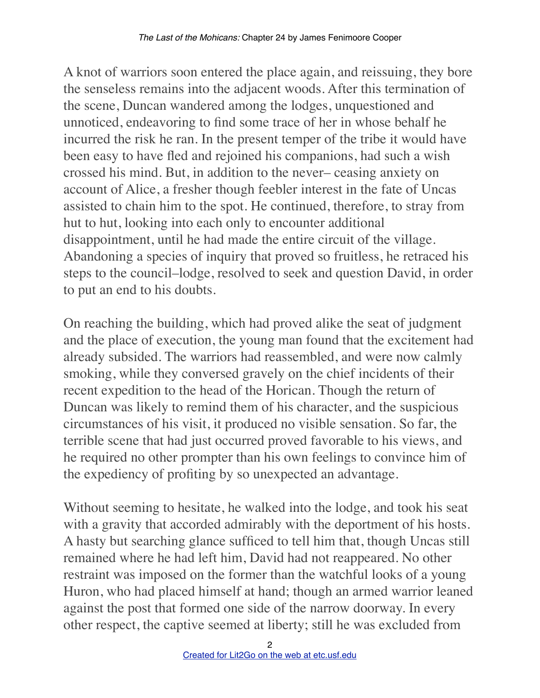A knot of warriors soon entered the place again, and reissuing, they bore the senseless remains into the adjacent woods. After this termination of the scene, Duncan wandered among the lodges, unquestioned and unnoticed, endeavoring to find some trace of her in whose behalf he incurred the risk he ran. In the present temper of the tribe it would have been easy to have fled and rejoined his companions, had such a wish crossed his mind. But, in addition to the never– ceasing anxiety on account of Alice, a fresher though feebler interest in the fate of Uncas assisted to chain him to the spot. He continued, therefore, to stray from hut to hut, looking into each only to encounter additional disappointment, until he had made the entire circuit of the village. Abandoning a species of inquiry that proved so fruitless, he retraced his steps to the council–lodge, resolved to seek and question David, in order to put an end to his doubts.

On reaching the building, which had proved alike the seat of judgment and the place of execution, the young man found that the excitement had already subsided. The warriors had reassembled, and were now calmly smoking, while they conversed gravely on the chief incidents of their recent expedition to the head of the Horican. Though the return of Duncan was likely to remind them of his character, and the suspicious circumstances of his visit, it produced no visible sensation. So far, the terrible scene that had just occurred proved favorable to his views, and he required no other prompter than his own feelings to convince him of the expediency of profiting by so unexpected an advantage.

Without seeming to hesitate, he walked into the lodge, and took his seat with a gravity that accorded admirably with the deportment of his hosts. A hasty but searching glance sufficed to tell him that, though Uncas still remained where he had left him, David had not reappeared. No other restraint was imposed on the former than the watchful looks of a young Huron, who had placed himself at hand; though an armed warrior leaned against the post that formed one side of the narrow doorway. In every other respect, the captive seemed at liberty; still he was excluded from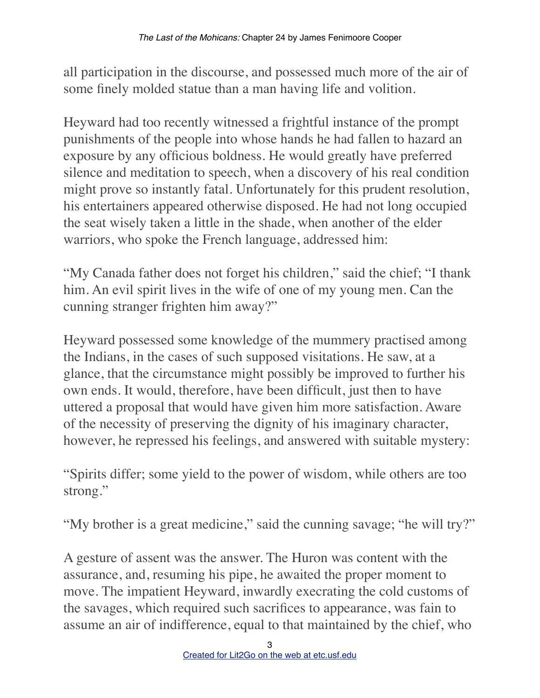all participation in the discourse, and possessed much more of the air of some finely molded statue than a man having life and volition.

Heyward had too recently witnessed a frightful instance of the prompt punishments of the people into whose hands he had fallen to hazard an exposure by any officious boldness. He would greatly have preferred silence and meditation to speech, when a discovery of his real condition might prove so instantly fatal. Unfortunately for this prudent resolution, his entertainers appeared otherwise disposed. He had not long occupied the seat wisely taken a little in the shade, when another of the elder warriors, who spoke the French language, addressed him:

"My Canada father does not forget his children," said the chief; "I thank him. An evil spirit lives in the wife of one of my young men. Can the cunning stranger frighten him away?"

Heyward possessed some knowledge of the mummery practised among the Indians, in the cases of such supposed visitations. He saw, at a glance, that the circumstance might possibly be improved to further his own ends. It would, therefore, have been difficult, just then to have uttered a proposal that would have given him more satisfaction. Aware of the necessity of preserving the dignity of his imaginary character, however, he repressed his feelings, and answered with suitable mystery:

"Spirits differ; some yield to the power of wisdom, while others are too strong."

"My brother is a great medicine," said the cunning savage; "he will try?"

A gesture of assent was the answer. The Huron was content with the assurance, and, resuming his pipe, he awaited the proper moment to move. The impatient Heyward, inwardly execrating the cold customs of the savages, which required such sacrifices to appearance, was fain to assume an air of indifference, equal to that maintained by the chief, who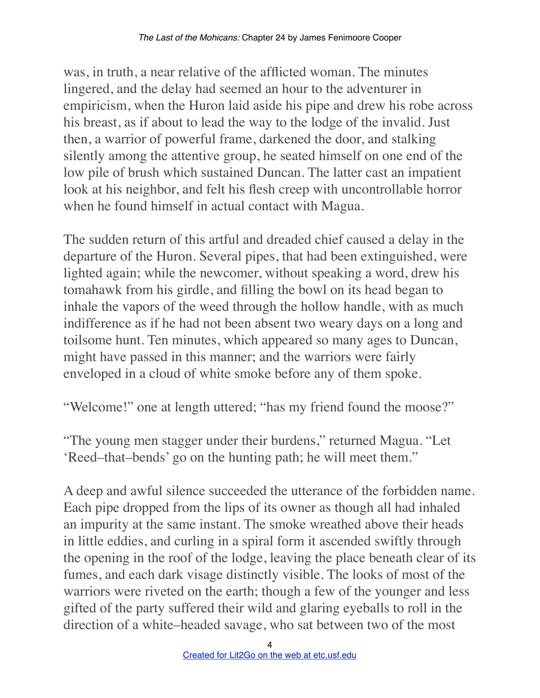was, in truth, a near relative of the afflicted woman. The minutes lingered, and the delay had seemed an hour to the adventurer in empiricism, when the Huron laid aside his pipe and drew his robe across his breast, as if about to lead the way to the lodge of the invalid. Just then, a warrior of powerful frame, darkened the door, and stalking silently among the attentive group, he seated himself on one end of the low pile of brush which sustained Duncan. The latter cast an impatient look at his neighbor, and felt his flesh creep with uncontrollable horror when he found himself in actual contact with Magua.

The sudden return of this artful and dreaded chief caused a delay in the departure of the Huron. Several pipes, that had been extinguished, were lighted again; while the newcomer, without speaking a word, drew his tomahawk from his girdle, and filling the bowl on its head began to inhale the vapors of the weed through the hollow handle, with as much indifference as if he had not been absent two weary days on a long and toilsome hunt. Ten minutes, which appeared so many ages to Duncan, might have passed in this manner; and the warriors were fairly enveloped in a cloud of white smoke before any of them spoke.

"Welcome!" one at length uttered; "has my friend found the moose?"

"The young men stagger under their burdens," returned Magua. "Let 'Reed–that–bends' go on the hunting path; he will meet them."

A deep and awful silence succeeded the utterance of the forbidden name. Each pipe dropped from the lips of its owner as though all had inhaled an impurity at the same instant. The smoke wreathed above their heads in little eddies, and curling in a spiral form it ascended swiftly through the opening in the roof of the lodge, leaving the place beneath clear of its fumes, and each dark visage distinctly visible. The looks of most of the warriors were riveted on the earth; though a few of the younger and less gifted of the party suffered their wild and glaring eyeballs to roll in the direction of a white–headed savage, who sat between two of the most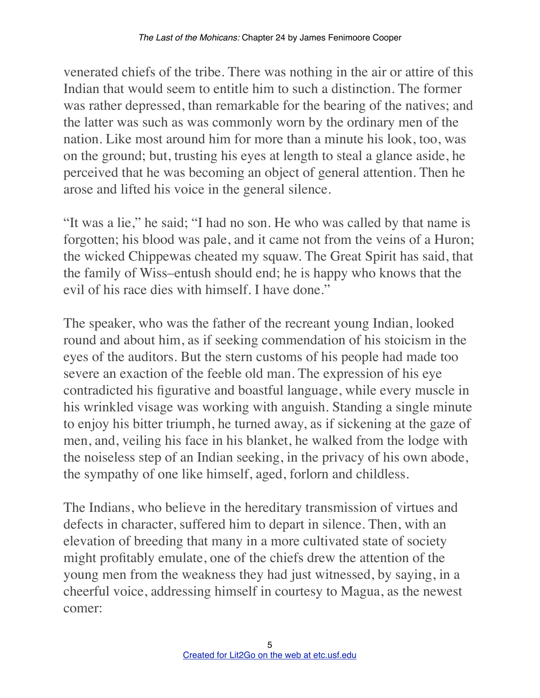venerated chiefs of the tribe. There was nothing in the air or attire of this Indian that would seem to entitle him to such a distinction. The former was rather depressed, than remarkable for the bearing of the natives; and the latter was such as was commonly worn by the ordinary men of the nation. Like most around him for more than a minute his look, too, was on the ground; but, trusting his eyes at length to steal a glance aside, he perceived that he was becoming an object of general attention. Then he arose and lifted his voice in the general silence.

"It was a lie," he said; "I had no son. He who was called by that name is forgotten; his blood was pale, and it came not from the veins of a Huron; the wicked Chippewas cheated my squaw. The Great Spirit has said, that the family of Wiss–entush should end; he is happy who knows that the evil of his race dies with himself. I have done."

The speaker, who was the father of the recreant young Indian, looked round and about him, as if seeking commendation of his stoicism in the eyes of the auditors. But the stern customs of his people had made too severe an exaction of the feeble old man. The expression of his eye contradicted his figurative and boastful language, while every muscle in his wrinkled visage was working with anguish. Standing a single minute to enjoy his bitter triumph, he turned away, as if sickening at the gaze of men, and, veiling his face in his blanket, he walked from the lodge with the noiseless step of an Indian seeking, in the privacy of his own abode, the sympathy of one like himself, aged, forlorn and childless.

The Indians, who believe in the hereditary transmission of virtues and defects in character, suffered him to depart in silence. Then, with an elevation of breeding that many in a more cultivated state of society might profitably emulate, one of the chiefs drew the attention of the young men from the weakness they had just witnessed, by saying, in a cheerful voice, addressing himself in courtesy to Magua, as the newest comer: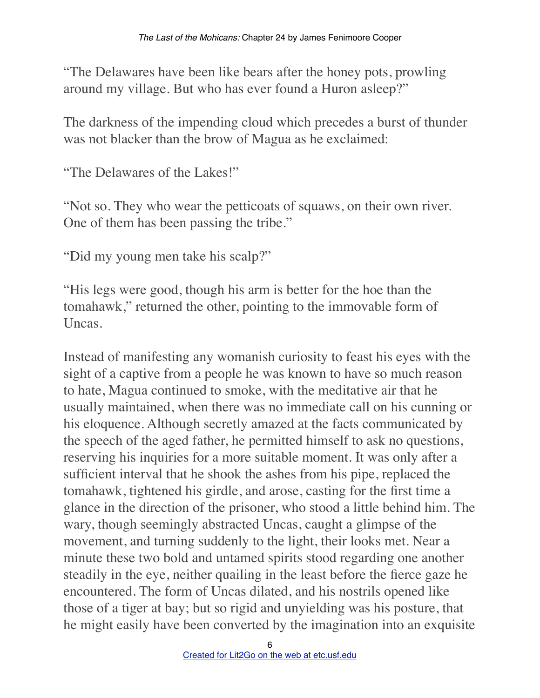"The Delawares have been like bears after the honey pots, prowling around my village. But who has ever found a Huron asleep?"

The darkness of the impending cloud which precedes a burst of thunder was not blacker than the brow of Magua as he exclaimed:

"The Delawares of the Lakes!"

"Not so. They who wear the petticoats of squaws, on their own river. One of them has been passing the tribe."

"Did my young men take his scalp?"

"His legs were good, though his arm is better for the hoe than the tomahawk," returned the other, pointing to the immovable form of Uncas.

Instead of manifesting any womanish curiosity to feast his eyes with the sight of a captive from a people he was known to have so much reason to hate, Magua continued to smoke, with the meditative air that he usually maintained, when there was no immediate call on his cunning or his eloquence. Although secretly amazed at the facts communicated by the speech of the aged father, he permitted himself to ask no questions, reserving his inquiries for a more suitable moment. It was only after a sufficient interval that he shook the ashes from his pipe, replaced the tomahawk, tightened his girdle, and arose, casting for the first time a glance in the direction of the prisoner, who stood a little behind him. The wary, though seemingly abstracted Uncas, caught a glimpse of the movement, and turning suddenly to the light, their looks met. Near a minute these two bold and untamed spirits stood regarding one another steadily in the eye, neither quailing in the least before the fierce gaze he encountered. The form of Uncas dilated, and his nostrils opened like those of a tiger at bay; but so rigid and unyielding was his posture, that he might easily have been converted by the imagination into an exquisite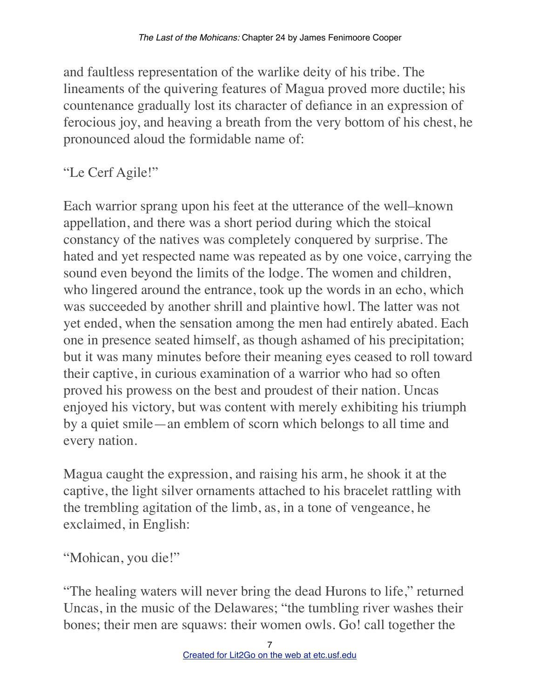and faultless representation of the warlike deity of his tribe. The lineaments of the quivering features of Magua proved more ductile; his countenance gradually lost its character of defiance in an expression of ferocious joy, and heaving a breath from the very bottom of his chest, he pronounced aloud the formidable name of:

## "Le Cerf Agile!"

Each warrior sprang upon his feet at the utterance of the well–known appellation, and there was a short period during which the stoical constancy of the natives was completely conquered by surprise. The hated and yet respected name was repeated as by one voice, carrying the sound even beyond the limits of the lodge. The women and children, who lingered around the entrance, took up the words in an echo, which was succeeded by another shrill and plaintive howl. The latter was not yet ended, when the sensation among the men had entirely abated. Each one in presence seated himself, as though ashamed of his precipitation; but it was many minutes before their meaning eyes ceased to roll toward their captive, in curious examination of a warrior who had so often proved his prowess on the best and proudest of their nation. Uncas enjoyed his victory, but was content with merely exhibiting his triumph by a quiet smile—an emblem of scorn which belongs to all time and every nation.

Magua caught the expression, and raising his arm, he shook it at the captive, the light silver ornaments attached to his bracelet rattling with the trembling agitation of the limb, as, in a tone of vengeance, he exclaimed, in English:

"Mohican, you die!"

"The healing waters will never bring the dead Hurons to life," returned Uncas, in the music of the Delawares; "the tumbling river washes their bones; their men are squaws: their women owls. Go! call together the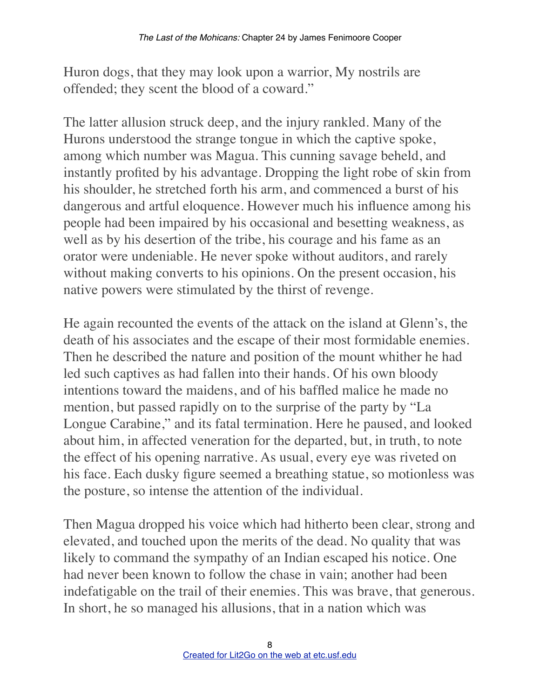Huron dogs, that they may look upon a warrior, My nostrils are offended; they scent the blood of a coward."

The latter allusion struck deep, and the injury rankled. Many of the Hurons understood the strange tongue in which the captive spoke, among which number was Magua. This cunning savage beheld, and instantly profited by his advantage. Dropping the light robe of skin from his shoulder, he stretched forth his arm, and commenced a burst of his dangerous and artful eloquence. However much his influence among his people had been impaired by his occasional and besetting weakness, as well as by his desertion of the tribe, his courage and his fame as an orator were undeniable. He never spoke without auditors, and rarely without making converts to his opinions. On the present occasion, his native powers were stimulated by the thirst of revenge.

He again recounted the events of the attack on the island at Glenn's, the death of his associates and the escape of their most formidable enemies. Then he described the nature and position of the mount whither he had led such captives as had fallen into their hands. Of his own bloody intentions toward the maidens, and of his baffled malice he made no mention, but passed rapidly on to the surprise of the party by "La Longue Carabine," and its fatal termination. Here he paused, and looked about him, in affected veneration for the departed, but, in truth, to note the effect of his opening narrative. As usual, every eye was riveted on his face. Each dusky figure seemed a breathing statue, so motionless was the posture, so intense the attention of the individual.

Then Magua dropped his voice which had hitherto been clear, strong and elevated, and touched upon the merits of the dead. No quality that was likely to command the sympathy of an Indian escaped his notice. One had never been known to follow the chase in vain; another had been indefatigable on the trail of their enemies. This was brave, that generous. In short, he so managed his allusions, that in a nation which was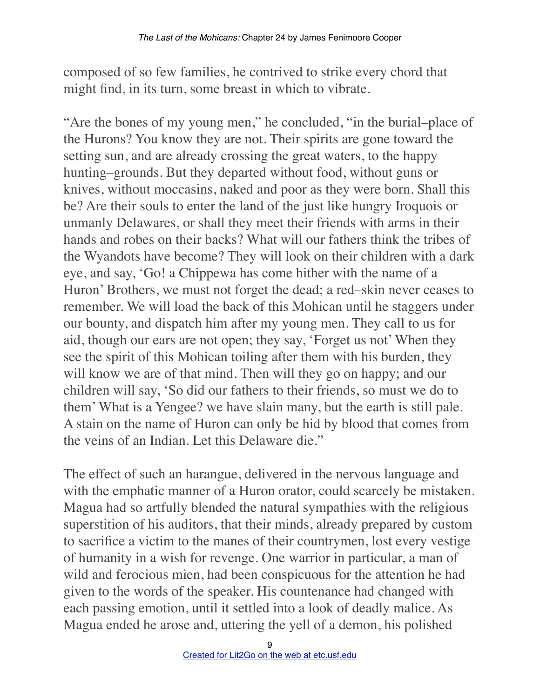composed of so few families, he contrived to strike every chord that might find, in its turn, some breast in which to vibrate.

"Are the bones of my young men," he concluded, "in the burial–place of the Hurons? You know they are not. Their spirits are gone toward the setting sun, and are already crossing the great waters, to the happy hunting–grounds. But they departed without food, without guns or knives, without moccasins, naked and poor as they were born. Shall this be? Are their souls to enter the land of the just like hungry Iroquois or unmanly Delawares, or shall they meet their friends with arms in their hands and robes on their backs? What will our fathers think the tribes of the Wyandots have become? They will look on their children with a dark eye, and say, 'Go! a Chippewa has come hither with the name of a Huron' Brothers, we must not forget the dead; a red–skin never ceases to remember. We will load the back of this Mohican until he staggers under our bounty, and dispatch him after my young men. They call to us for aid, though our ears are not open; they say, 'Forget us not' When they see the spirit of this Mohican toiling after them with his burden, they will know we are of that mind. Then will they go on happy; and our children will say, 'So did our fathers to their friends, so must we do to them' What is a Yengee? we have slain many, but the earth is still pale. A stain on the name of Huron can only be hid by blood that comes from the veins of an Indian. Let this Delaware die."

The effect of such an harangue, delivered in the nervous language and with the emphatic manner of a Huron orator, could scarcely be mistaken. Magua had so artfully blended the natural sympathies with the religious superstition of his auditors, that their minds, already prepared by custom to sacrifice a victim to the manes of their countrymen, lost every vestige of humanity in a wish for revenge. One warrior in particular, a man of wild and ferocious mien, had been conspicuous for the attention he had given to the words of the speaker. His countenance had changed with each passing emotion, until it settled into a look of deadly malice. As Magua ended he arose and, uttering the yell of a demon, his polished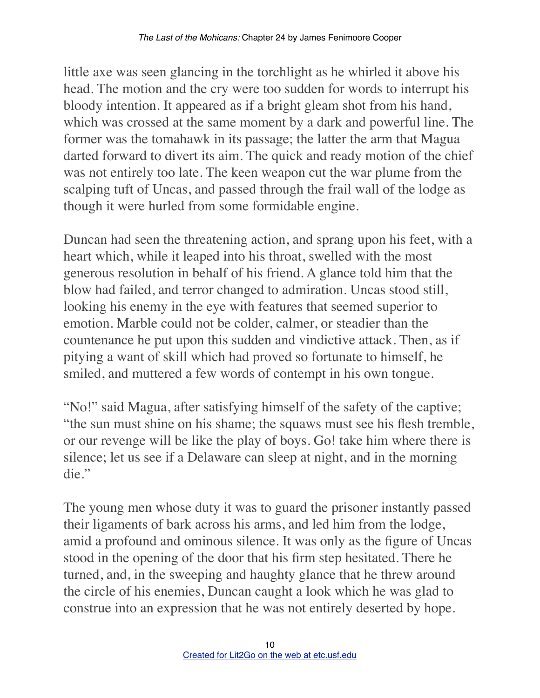little axe was seen glancing in the torchlight as he whirled it above his head. The motion and the cry were too sudden for words to interrupt his bloody intention. It appeared as if a bright gleam shot from his hand, which was crossed at the same moment by a dark and powerful line. The former was the tomahawk in its passage; the latter the arm that Magua darted forward to divert its aim. The quick and ready motion of the chief was not entirely too late. The keen weapon cut the war plume from the scalping tuft of Uncas, and passed through the frail wall of the lodge as though it were hurled from some formidable engine.

Duncan had seen the threatening action, and sprang upon his feet, with a heart which, while it leaped into his throat, swelled with the most generous resolution in behalf of his friend. A glance told him that the blow had failed, and terror changed to admiration. Uncas stood still, looking his enemy in the eye with features that seemed superior to emotion. Marble could not be colder, calmer, or steadier than the countenance he put upon this sudden and vindictive attack. Then, as if pitying a want of skill which had proved so fortunate to himself, he smiled, and muttered a few words of contempt in his own tongue.

"No!" said Magua, after satisfying himself of the safety of the captive; "the sun must shine on his shame; the squaws must see his flesh tremble, or our revenge will be like the play of boys. Go! take him where there is silence; let us see if a Delaware can sleep at night, and in the morning die."

The young men whose duty it was to guard the prisoner instantly passed their ligaments of bark across his arms, and led him from the lodge, amid a profound and ominous silence. It was only as the figure of Uncas stood in the opening of the door that his firm step hesitated. There he turned, and, in the sweeping and haughty glance that he threw around the circle of his enemies, Duncan caught a look which he was glad to construe into an expression that he was not entirely deserted by hope.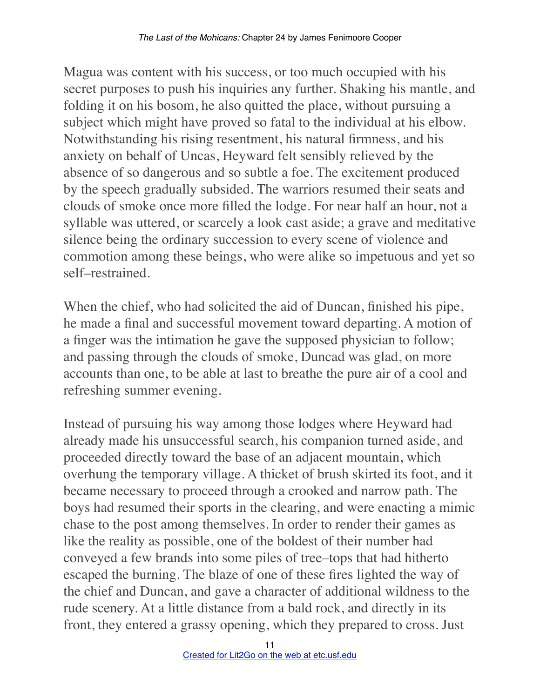Magua was content with his success, or too much occupied with his secret purposes to push his inquiries any further. Shaking his mantle, and folding it on his bosom, he also quitted the place, without pursuing a subject which might have proved so fatal to the individual at his elbow. Notwithstanding his rising resentment, his natural firmness, and his anxiety on behalf of Uncas, Heyward felt sensibly relieved by the absence of so dangerous and so subtle a foe. The excitement produced by the speech gradually subsided. The warriors resumed their seats and clouds of smoke once more filled the lodge. For near half an hour, not a syllable was uttered, or scarcely a look cast aside; a grave and meditative silence being the ordinary succession to every scene of violence and commotion among these beings, who were alike so impetuous and yet so self–restrained.

When the chief, who had solicited the aid of Duncan, finished his pipe, he made a final and successful movement toward departing. A motion of a finger was the intimation he gave the supposed physician to follow; and passing through the clouds of smoke, Duncad was glad, on more accounts than one, to be able at last to breathe the pure air of a cool and refreshing summer evening.

Instead of pursuing his way among those lodges where Heyward had already made his unsuccessful search, his companion turned aside, and proceeded directly toward the base of an adjacent mountain, which overhung the temporary village. A thicket of brush skirted its foot, and it became necessary to proceed through a crooked and narrow path. The boys had resumed their sports in the clearing, and were enacting a mimic chase to the post among themselves. In order to render their games as like the reality as possible, one of the boldest of their number had conveyed a few brands into some piles of tree–tops that had hitherto escaped the burning. The blaze of one of these fires lighted the way of the chief and Duncan, and gave a character of additional wildness to the rude scenery. At a little distance from a bald rock, and directly in its front, they entered a grassy opening, which they prepared to cross. Just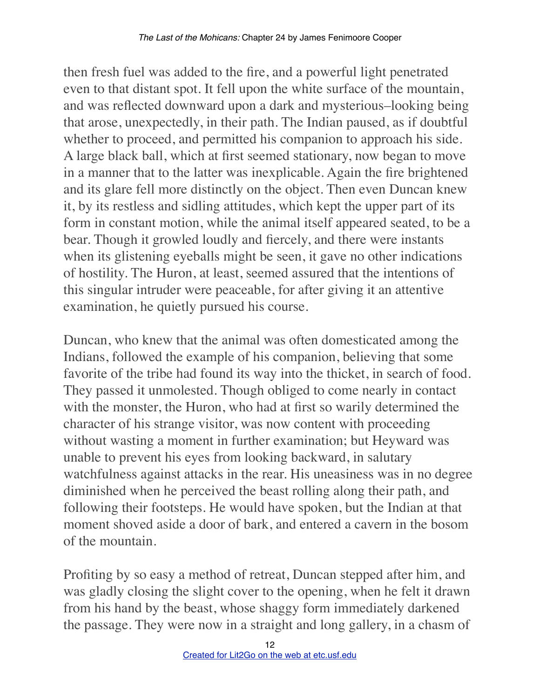then fresh fuel was added to the fire, and a powerful light penetrated even to that distant spot. It fell upon the white surface of the mountain, and was reflected downward upon a dark and mysterious–looking being that arose, unexpectedly, in their path. The Indian paused, as if doubtful whether to proceed, and permitted his companion to approach his side. A large black ball, which at first seemed stationary, now began to move in a manner that to the latter was inexplicable. Again the fire brightened and its glare fell more distinctly on the object. Then even Duncan knew it, by its restless and sidling attitudes, which kept the upper part of its form in constant motion, while the animal itself appeared seated, to be a bear. Though it growled loudly and fiercely, and there were instants when its glistening eyeballs might be seen, it gave no other indications of hostility. The Huron, at least, seemed assured that the intentions of this singular intruder were peaceable, for after giving it an attentive examination, he quietly pursued his course.

Duncan, who knew that the animal was often domesticated among the Indians, followed the example of his companion, believing that some favorite of the tribe had found its way into the thicket, in search of food. They passed it unmolested. Though obliged to come nearly in contact with the monster, the Huron, who had at first so warily determined the character of his strange visitor, was now content with proceeding without wasting a moment in further examination; but Heyward was unable to prevent his eyes from looking backward, in salutary watchfulness against attacks in the rear. His uneasiness was in no degree diminished when he perceived the beast rolling along their path, and following their footsteps. He would have spoken, but the Indian at that moment shoved aside a door of bark, and entered a cavern in the bosom of the mountain.

Profiting by so easy a method of retreat, Duncan stepped after him, and was gladly closing the slight cover to the opening, when he felt it drawn from his hand by the beast, whose shaggy form immediately darkened the passage. They were now in a straight and long gallery, in a chasm of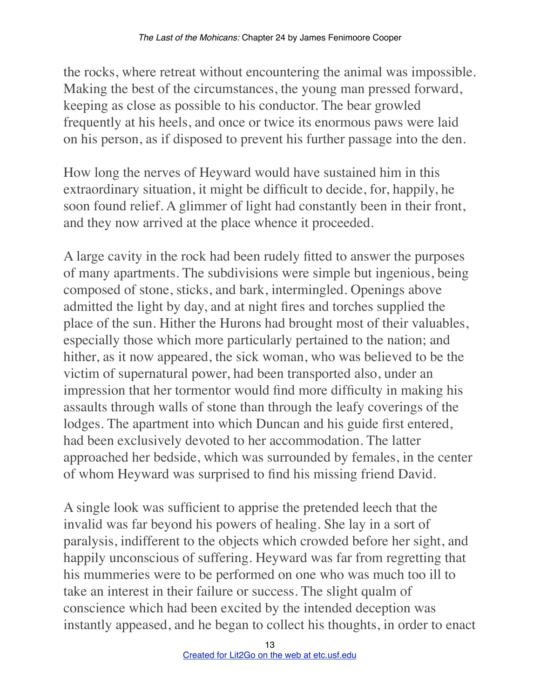the rocks, where retreat without encountering the animal was impossible. Making the best of the circumstances, the young man pressed forward, keeping as close as possible to his conductor. The bear growled frequently at his heels, and once or twice its enormous paws were laid on his person, as if disposed to prevent his further passage into the den.

How long the nerves of Heyward would have sustained him in this extraordinary situation, it might be difficult to decide, for, happily, he soon found relief. A glimmer of light had constantly been in their front, and they now arrived at the place whence it proceeded.

A large cavity in the rock had been rudely fitted to answer the purposes of many apartments. The subdivisions were simple but ingenious, being composed of stone, sticks, and bark, intermingled. Openings above admitted the light by day, and at night fires and torches supplied the place of the sun. Hither the Hurons had brought most of their valuables, especially those which more particularly pertained to the nation; and hither, as it now appeared, the sick woman, who was believed to be the victim of supernatural power, had been transported also, under an impression that her tormentor would find more difficulty in making his assaults through walls of stone than through the leafy coverings of the lodges. The apartment into which Duncan and his guide first entered, had been exclusively devoted to her accommodation. The latter approached her bedside, which was surrounded by females, in the center of whom Heyward was surprised to find his missing friend David.

A single look was sufficient to apprise the pretended leech that the invalid was far beyond his powers of healing. She lay in a sort of paralysis, indifferent to the objects which crowded before her sight, and happily unconscious of suffering. Heyward was far from regretting that his mummeries were to be performed on one who was much too ill to take an interest in their failure or success. The slight qualm of conscience which had been excited by the intended deception was instantly appeased, and he began to collect his thoughts, in order to enact